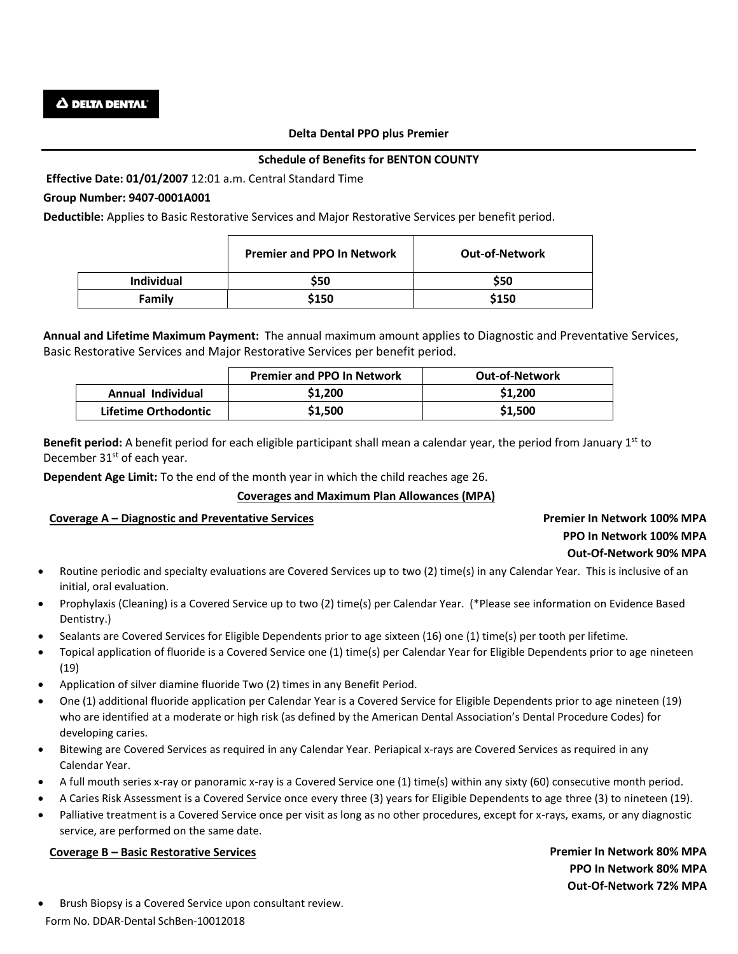#### **Delta Dental PPO plus Premier**

## **Schedule of Benefits for BENTON COUNTY**

**Effective Date: 01/01/2007** 12:01 a.m. Central Standard Time

# **Group Number: 9407-0001A001**

**Deductible:** Applies to Basic Restorative Services and Major Restorative Services per benefit period.

|                   | <b>Premier and PPO In Network</b> | <b>Out-of-Network</b> |
|-------------------|-----------------------------------|-----------------------|
| <b>Individual</b> | \$50                              | \$50                  |
| Family            | \$150                             | \$150                 |

**Annual and Lifetime Maximum Payment:** The annual maximum amount applies to Diagnostic and Preventative Services, Basic Restorative Services and Major Restorative Services per benefit period.

|                      | <b>Premier and PPO In Network</b> | <b>Out-of-Network</b> |
|----------------------|-----------------------------------|-----------------------|
| Annual Individual    | \$1,200                           | \$1,200               |
| Lifetime Orthodontic | \$1,500                           | \$1,500               |

**Benefit period:** A benefit period for each eligible participant shall mean a calendar year, the period from January 1st to December 31<sup>st</sup> of each year.

**Dependent Age Limit:** To the end of the month year in which the child reaches age 26.

#### **Coverages and Maximum Plan Allowances (MPA)**

#### **Coverage A – Diagnostic and Preventative Services Premier In Network 100% MPA**

# **PPO In Network 100% MPA Out-Of-Network 90% MPA**

- Routine periodic and specialty evaluations are Covered Services up to two (2) time(s) in any Calendar Year. This is inclusive of an initial, oral evaluation.
- Prophylaxis (Cleaning) is a Covered Service up to two (2) time(s) per Calendar Year. (\*Please see information on Evidence Based Dentistry.)
- Sealants are Covered Services for Eligible Dependents prior to age sixteen (16) one (1) time(s) per tooth per lifetime.
- Topical application of fluoride is a Covered Service one (1) time(s) per Calendar Year for Eligible Dependents prior to age nineteen (19)
- Application of silver diamine fluoride Two (2) times in any Benefit Period.
- One (1) additional fluoride application per Calendar Year is a Covered Service for Eligible Dependents prior to age nineteen (19) who are identified at a moderate or high risk (as defined by the American Dental Association's Dental Procedure Codes) for developing caries.
- Bitewing are Covered Services as required in any Calendar Year. Periapical x-rays are Covered Services as required in any Calendar Year.
- A full mouth series x-ray or panoramic x-ray is a Covered Service one (1) time(s) within any sixty (60) consecutive month period.
- A Caries Risk Assessment is a Covered Service once every three (3) years for Eligible Dependents to age three (3) to nineteen (19).
- Palliative treatment is a Covered Service once per visit as long as no other procedures, except for x-rays, exams, or any diagnostic service, are performed on the same date.

# **Coverage B – Basic Restorative Services Premier In Network 80% MPA**

**PPO In Network 80% MPA Out-Of-Network 72% MPA**

Form No. DDAR-Dental SchBen-10012018 Brush Biopsy is a Covered Service upon consultant review.